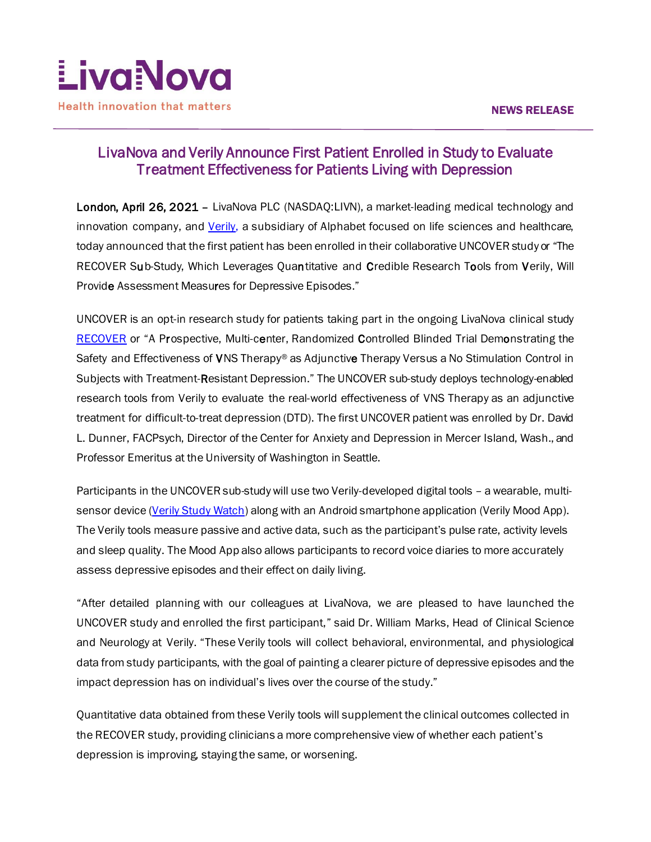

# LivaNova and Verily Announce First Patient Enrolled in Study to Evaluate Treatment Effectiveness for Patients Living with Depression

London, April 26, 2021 – LivaNova PLC (NASDAQ:LIVN), a market-leading medical technology and innovation company, and [Verily,](https://verily.com/) a subsidiary of Alphabet focused on life sciences and healthcare, today announced that the first patient has been enrolled in their collaborative UNCOVER study or "The RECOVER Sub-Study, Which Leverages Quantitative and Credible Research Tools from Verily, Will Provide Assessment Measures for Depressive Episodes."

UNCOVER is an opt-in research study for patients taking part in the ongoing LivaNova clinical study [RECOVER](http://www.recovervns.com/) or "A Prospective, Multi-center, Randomized Controlled Blinded Trial Demonstrating the Safety and Effectiveness of VNS Therapy® as Adjunctive Therapy Versus a No Stimulation Control in Subjects with Treatment-Resistant Depression." The UNCOVER sub-study deploys technology-enabled research tools from Verily to evaluate the real-world effectiveness of VNS Therapy as an adjunctive treatment for difficult-to-treat depression (DTD). The first UNCOVER patient was enrolled by Dr. David L. Dunner, FACPsych, Director of the Center for Anxiety and Depression in Mercer Island, Wash., and Professor Emeritus at the University of Washington in Seattle.

Participants in the UNCOVER sub-study will use two Verily-developed digital tools – a wearable, multisensor device [\(Verily Study Watch](https://verily.com/solutions/study-watch/)) along with an Android smartphone application (Verily Mood App). The Verily tools measure passive and active data, such as the participant's pulse rate, activity levels and sleep quality. The Mood App also allows participants to record voice diaries to more accurately assess depressive episodes and their effect on daily living.

"After detailed planning with our colleagues at LivaNova, we are pleased to have launched the UNCOVER study and enrolled the first participant," said Dr. William Marks, Head of Clinical Science and Neurology at Verily. "These Verily tools will collect behavioral, environmental, and physiological data from study participants, with the goal of painting a clearer picture of depressive episodes and the impact depression has on individual's lives over the course of the study."

Quantitative data obtained from these Verily tools will supplement the clinical outcomes collected in the RECOVER study, providing clinicians a more comprehensive view of whether each patient's depression is improving, staying the same, or worsening.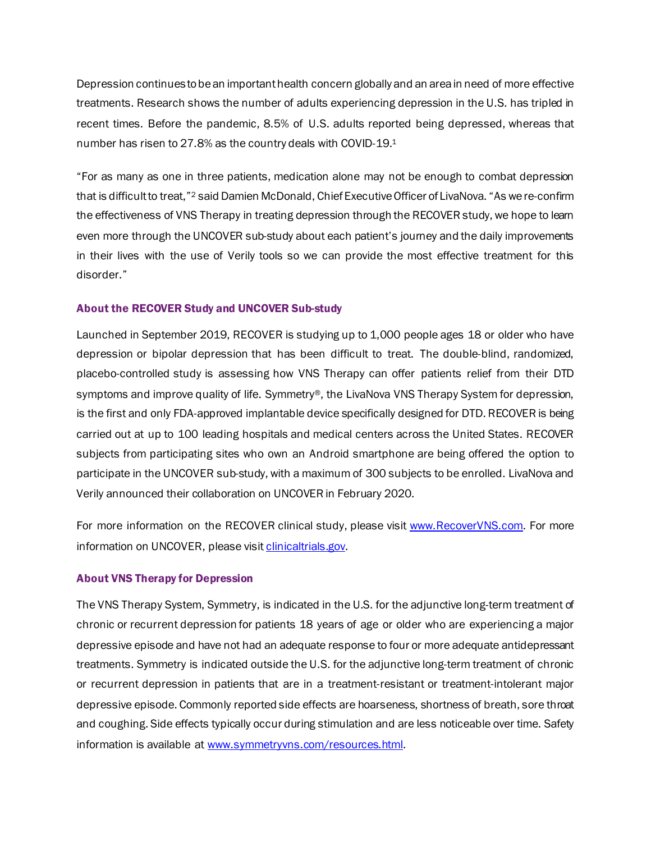Depression continues to be an important health concern globally and an area in need of more effective treatments. Research shows the number of adults experiencing depression in the U.S. has tripled in recent times. Before the pandemic, 8.5% of U.S. adults reported being depressed, whereas that number has risen to 27.8% as the country deals with COVID-19.1

"For as many as one in three patients, medication alone may not be enough to combat depression that is difficult to treat,"2 said Damien McDonald, Chief Executive Officer of LivaNova. "As we re-confirm the effectiveness of VNS Therapy in treating depression through the RECOVER study, we hope to learn even more through the UNCOVER sub-study about each patient's journey and the daily improvements in their lives with the use of Verily tools so we can provide the most effective treatment for this disorder."

#### About the RECOVER Study and UNCOVER Sub-study

Launched in September 2019, RECOVER is studying up to 1,000 people ages 18 or older who have depression or bipolar depression that has been difficult to treat. The double-blind, randomized, placebo-controlled study is assessing how VNS Therapy can offer patients relief from their DTD symptoms and improve quality of life. Symmetry®, the LivaNova VNS Therapy System for depression, is the first and only FDA-approved implantable device specifically designed for DTD. RECOVER is being carried out at up to 100 leading hospitals and medical centers across the United States. RECOVER subjects from participating sites who own an Android smartphone are being offered the option to participate in the UNCOVER sub-study, with a maximum of 300 subjects to be enrolled. LivaNova and Verily announced their collaboration on UNCOVER in February 2020.

For more information on the RECOVER clinical study, please visit [www.RecoverVNS.com](http://www.recovervns.com/). For more information on UNCOVER, please visi[t clinicaltrials.gov.](https://clinicaltrials.gov/ct2/show/NCT04753385?term=uncover&cond=Depression&draw=2&rank=1)

#### About VNS Therapy for Depression

The VNS Therapy System, Symmetry, is indicated in the U.S. for the adjunctive long-term treatment of chronic or recurrent depression for patients 18 years of age or older who are experiencing a major depressive episode and have not had an adequate response to four or more adequate antidepressant treatments. Symmetry is indicated outside the U.S. for the adjunctive long-term treatment of chronic or recurrent depression in patients that are in a treatment-resistant or treatment-intolerant major depressive episode. Commonly reported side effects are hoarseness, shortness of breath, sore throat and coughing. Side effects typically occur during stimulation and are less noticeable over time. Safety information is available at [www.symmetryvns.com/resources.html.](http://www.symmetryvns.com/resources.html)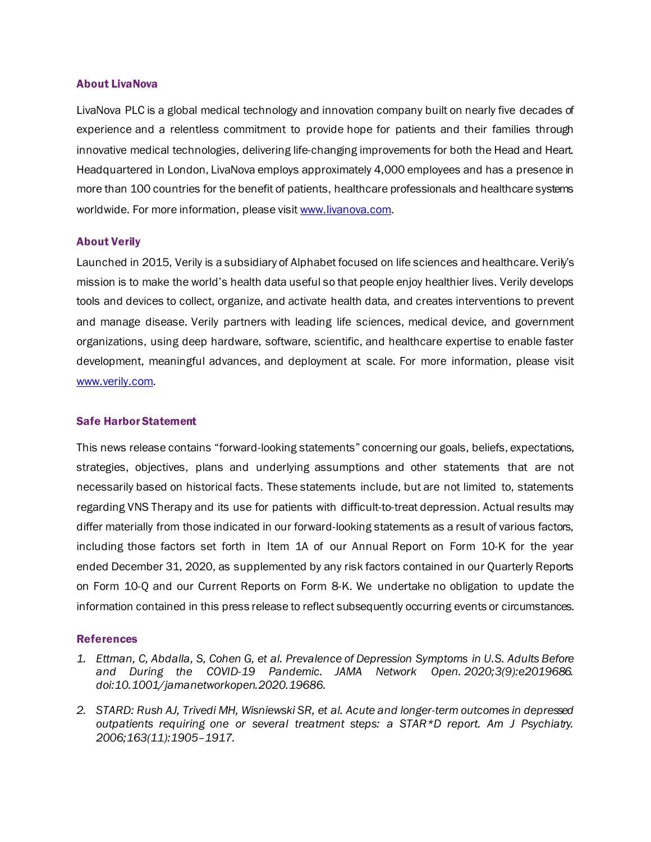#### About LivaNova

LivaNova PLC is a global medical technology and innovation company built on nearly five decades of experience and a relentless commitment to provide hope for patients and their families through innovative medical technologies, delivering life-changing improvements for both the Head and Heart. Headquartered in London, LivaNova employs approximately 4,000 employees and has a presence in more than 100 countries for the benefit of patients, healthcare professionals and healthcare systems worldwide. For more information, please visi[t www.livanova.com.](http://www.livanova.com/)

#### About Verily

Launched in 2015, Verily is a subsidiary of Alphabet focused on life sciences and healthcare. Verily's mission is to make the world's health data useful so that people enjoy healthier lives. Verily develops tools and devices to collect, organize, and activate health data, and creates interventions to prevent and manage disease. Verily partners with leading life sciences, medical device, and government organizations, using deep hardware, software, scientific, and healthcare expertise to enable faster development, meaningful advances, and deployment at scale. For more information, please visit [www.verily.com.](http://www.verily.com/)

### Safe Harbor Statement

This news release contains "forward-looking statements" concerning our goals, beliefs, expectations, strategies, objectives, plans and underlying assumptions and other statements that are not necessarily based on historical facts. These statements include, but are not limited to, statements regarding VNS Therapy and its use for patients with difficult-to-treat depression. Actual results may differ materially from those indicated in our forward-looking statements as a result of various factors, including those factors set forth in Item 1A of our Annual Report on Form 10-K for the year ended December 31, 2020, as supplemented by any risk factors contained in our Quarterly Reports on Form 10-Q and our Current Reports on Form 8-K. We undertake no obligation to update the information contained in this press release to reflect subsequently occurring events or circumstances.

#### References

- *1. Ettman, C, Abdalla, S, Cohen G, et al. Prevalence of Depression Symptoms in U.S. Adults Before and During the COVID-19 Pandemic. JAMA Network Open. 2020;3(9):e2019686. doi:10.1001/jamanetworkopen.2020.19686.*
- *2. STARD: Rush AJ, Trivedi MH, Wisniewski SR, et al. Acute and longer-term outcomes in depressed outpatients requiring one or several treatment steps: a STAR\*D report. Am J Psychiatry. 2006;163(11):1905–1917.*